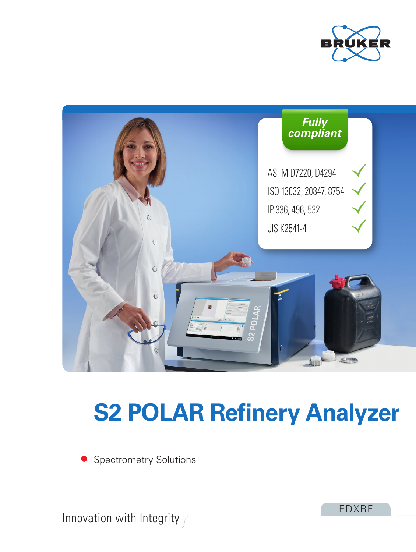



# **S2 POLAR Refinery Analyzer**

Spectrometry Solutions

Innovation with Integrity

EDXRF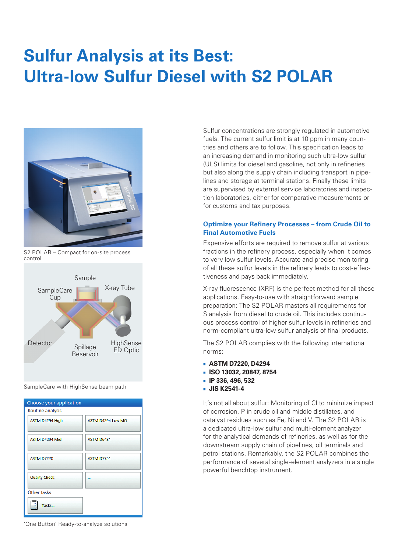# **Sulfur Analysis at its Best: Ultra-low Sulfur Diesel with S2 POLAR**



S2 POLAR – Compact for on-site process control



SampleCare with HighSense beam path



Sulfur concentrations are strongly regulated in automotive fuels. The current sulfur limit is at 10 ppm in many countries and others are to follow. This specification leads to an increasing demand in monitoring such ultra-low sulfur (ULS) limits for diesel and gasoline, not only in refineries but also along the supply chain including transport in pipelines and storage at terminal stations. Finally these limits are supervised by external service laboratories and inspection laboratories, either for comparative measurements or for customs and tax purposes.

#### **Optimize your Refinery Processes – from Crude Oil to Final Automotive Fuels**

Expensive efforts are required to remove sulfur at various fractions in the refinery process, especially when it comes to very low sulfur levels. Accurate and precise monitoring of all these sulfur levels in the refinery leads to cost-effectiveness and pays back immediately.

X-ray fluorescence (XRF) is the perfect method for all these applications. Easy-to-use with straightforward sample preparation: The S2 POLAR masters all requirements for S analysis from diesel to crude oil. This includes continuous process control of higher sulfur levels in refineries and norm-compliant ultra-low sulfur analysis of final products.

The S2 POLAR complies with the following international norms:

- **ASTM D7220, D4294**
- **ISO 13032, 20847, 8754**
- **IP 336, 496, 532**
- **JIS K2541-4**

It's not all about sulfur: Monitoring of Cl to minimize impact of corrosion, P in crude oil and middle distillates, and catalyst residues such as Fe, Ni and V. The S2 POLAR is a dedicated ultra-low sulfur and multi-element analyzer for the analytical demands of refineries, as well as for the downstream supply chain of pipelines, oil terminals and petrol stations. Remarkably, the S2 POLAR combines the performance of several single-element analyzers in a single powerful benchtop instrument.

'One Button' Ready-to-analyze solutions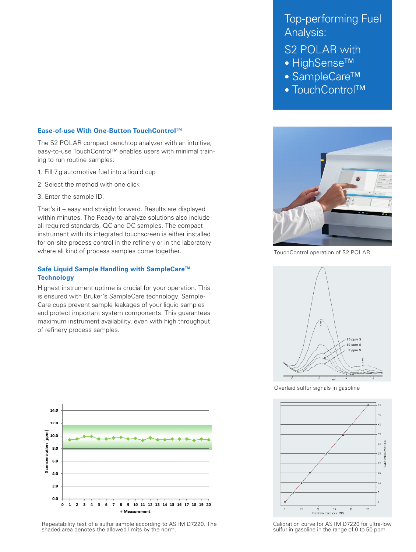#### **Ease-of-use With One-Button TouchControl**™

The S2 POLAR compact benchtop analyzer with an intuitive, easy-to-use TouchControl™ enables users with minimal training to run routine samples:

- 1. Fill 7 g automotive fuel into a liquid cup
- 2. Select the method with one click
- 3. Enter the sample ID.

That's it – easy and straight forward. Results are displayed within minutes. The Ready-to-analyze solutions also include all required standards, QC and DC samples. The compact instrument with its integrated touchscreen is either installed for on-site process control in the refinery or in the laboratory where all kind of process samples come together.

#### **Safe Liquid Sample Handling with SampleCare™ Technology**

Highest instrument uptime is crucial for your operation. This is ensured with Bruker's SampleCare technology. Sample-Care cups prevent sample leakages of your liquid samples and protect important system components. This guarantees maximum instrument availability, even with high throughput of refinery process samples.



Repeatability test of a sulfur sample according to ASTM D7220. The shaded area denotes the allowed limits by the norm.

## Top-performing Fuel Analysis:

### S2 POLAR with

- HighSense™
- SampleCare™
- TouchControl™



TouchControl operation of S2 POLAR



Overlaid sulfur signals in gasoline



Calibration curve for ASTM D7220 for ultra-low sulfur in gasoline in the range of 0 to 50 ppm